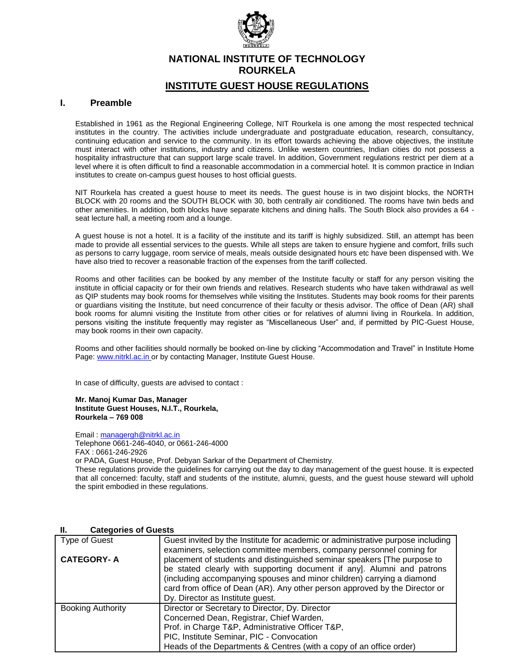

# **NATIONAL INSTITUTE OF TECHNOLOGY ROURKELA**

# **INSTITUTE GUEST HOUSE REGULATIONS**

### **I. Preamble**

Established in 1961 as the Regional Engineering College, NIT Rourkela is one among the most respected technical institutes in the country. The activities include undergraduate and postgraduate education, research, consultancy, continuing education and service to the community. In its effort towards achieving the above objectives, the institute must interact with other institutions, industry and citizens. Unlike western countries, Indian cities do not possess a hospitality infrastructure that can support large scale travel. In addition, Government regulations restrict per diem at a level where it is often difficult to find a reasonable accommodation in a commercial hotel. It is common practice in Indian institutes to create on-campus guest houses to host official guests.

NIT Rourkela has created a guest house to meet its needs. The guest house is in two disjoint blocks, the NORTH BLOCK with 20 rooms and the SOUTH BLOCK with 30, both centrally air conditioned. The rooms have twin beds and other amenities. In addition, both blocks have separate kitchens and dining halls. The South Block also provides a 64 seat lecture hall, a meeting room and a lounge.

A guest house is not a hotel. It is a facility of the institute and its tariff is highly subsidized. Still, an attempt has been made to provide all essential services to the guests. While all steps are taken to ensure hygiene and comfort, frills such as persons to carry luggage, room service of meals, meals outside designated hours etc have been dispensed with. We have also tried to recover a reasonable fraction of the expenses from the tariff collected.

Rooms and other facilities can be booked by any member of the Institute faculty or staff for any person visiting the institute in official capacity or for their own friends and relatives. Research students who have taken withdrawal as well as QIP students may book rooms for themselves while visiting the Institutes. Students may book rooms for their parents or guardians visiting the Institute, but need concurrence of their faculty or thesis advisor. The office of Dean (AR) shall book rooms for alumni visiting the Institute from other cities or for relatives of alumni living in Rourkela. In addition, persons visiting the institute frequently may register as "Miscellaneous User" and, if permitted by PIC-Guest House, may book rooms in their own capacity.

Rooms and other facilities should normally be booked on-line by clicking "Accommodation and Travel" in Institute Home Page: [www.nitrkl.ac.in](http://www.nitrkl.ac.in/) or by contacting Manager, Institute Guest House.

In case of difficulty, guests are advised to contact :

**Mr. Manoj Kumar Das, Manager Institute Guest Houses, N.I.T., Rourkela, Rourkela – 769 008**

Email : [managergh@nitrkl.ac.in](mailto:managergh@nitrkl.ac.in)

Telephone 0661-246-4040, or 0661-246-4000 FAX : 0661-246-2926

or PADA, Guest House, Prof. Debyan Sarkar of the Department of Chemistry.

These regulations provide the guidelines for carrying out the day to day management of the guest house. It is expected that all concerned: faculty, staff and students of the institute, alumni, guests, and the guest house steward will uphold the spirit embodied in these regulations.

#### **II. Categories of Guests**

| Type of Guest            | Guest invited by the Institute for academic or administrative purpose including<br>examiners, selection committee members, company personnel coming for                                                                                                                                                                                         |  |  |  |  |
|--------------------------|-------------------------------------------------------------------------------------------------------------------------------------------------------------------------------------------------------------------------------------------------------------------------------------------------------------------------------------------------|--|--|--|--|
| <b>CATEGORY-A</b>        | placement of students and distinguished seminar speakers [The purpose to<br>be stated clearly with supporting document if any]. Alumni and patrons<br>(including accompanying spouses and minor children) carrying a diamond<br>card from office of Dean (AR). Any other person approved by the Director or<br>Dy. Director as Institute guest. |  |  |  |  |
| <b>Booking Authority</b> | Director or Secretary to Director, Dy. Director<br>Concerned Dean, Registrar, Chief Warden,<br>Prof. in Charge T&P, Administrative Officer T&P,<br>PIC, Institute Seminar, PIC - Convocation<br>Heads of the Departments & Centres (with a copy of an office order)                                                                             |  |  |  |  |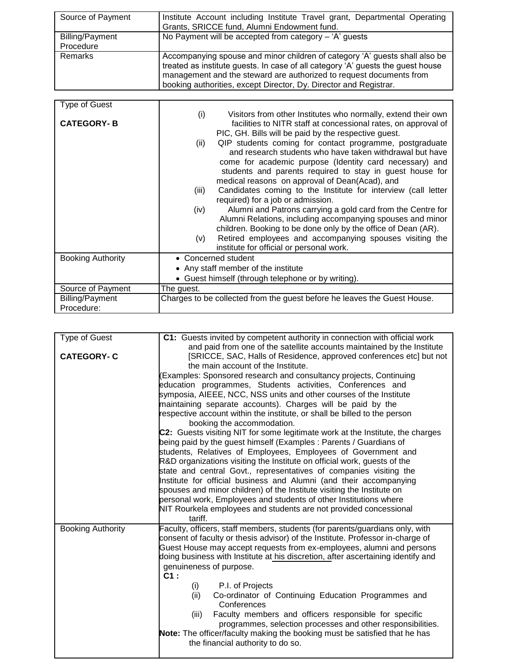| Source of Payment      | Institute Account including Institute Travel grant, Departmental Operating      |
|------------------------|---------------------------------------------------------------------------------|
|                        | Grants, SRICCE fund, Alumni Endowment fund.                                     |
| <b>Billing/Payment</b> | No Payment will be accepted from category $-$ 'A' quests                        |
| Procedure              |                                                                                 |
| Remarks                | Accompanying spouse and minor children of category 'A' guests shall also be     |
|                        | treated as institute guests. In case of all category 'A' guests the guest house |
|                        | management and the steward are authorized to request documents from             |
|                        | booking authorities, except Director, Dy. Director and Registrar.               |

| <b>Type of Guest</b>     |                                                                          |  |  |  |
|--------------------------|--------------------------------------------------------------------------|--|--|--|
|                          | (i)<br>Visitors from other Institutes who normally, extend their own     |  |  |  |
| <b>CATEGORY-B</b>        | facilities to NITR staff at concessional rates, on approval of           |  |  |  |
|                          | PIC, GH. Bills will be paid by the respective guest.                     |  |  |  |
|                          | QIP students coming for contact programme, postgraduate                  |  |  |  |
|                          | (ii)<br>and research students who have taken withdrawal but have         |  |  |  |
|                          |                                                                          |  |  |  |
|                          | come for academic purpose (Identity card necessary) and                  |  |  |  |
|                          | students and parents required to stay in guest house for                 |  |  |  |
|                          | medical reasons on approval of Dean(Acad), and                           |  |  |  |
|                          | Candidates coming to the Institute for interview (call letter<br>(iii)   |  |  |  |
|                          | required) for a job or admission.                                        |  |  |  |
|                          | Alumni and Patrons carrying a gold card from the Centre for<br>(iv)      |  |  |  |
|                          | Alumni Relations, including accompanying spouses and minor               |  |  |  |
|                          | children. Booking to be done only by the office of Dean (AR).            |  |  |  |
|                          | Retired employees and accompanying spouses visiting the<br>(v)           |  |  |  |
|                          | institute for official or personal work.                                 |  |  |  |
| <b>Booking Authority</b> | • Concerned student                                                      |  |  |  |
|                          | • Any staff member of the institute                                      |  |  |  |
|                          | • Guest himself (through telephone or by writing).                       |  |  |  |
| Source of Payment        | The guest.                                                               |  |  |  |
| <b>Billing/Payment</b>   | Charges to be collected from the guest before he leaves the Guest House. |  |  |  |
|                          |                                                                          |  |  |  |
| Procedure:               |                                                                          |  |  |  |

| <b>Type of Guest</b>     | C1: Guests invited by competent authority in connection with official work       |  |  |  |  |
|--------------------------|----------------------------------------------------------------------------------|--|--|--|--|
|                          | and paid from one of the satellite accounts maintained by the Institute          |  |  |  |  |
| <b>CATEGORY-C</b>        | [SRICCE, SAC, Halls of Residence, approved conferences etc] but not              |  |  |  |  |
|                          | the main account of the Institute.                                               |  |  |  |  |
|                          | (Examples: Sponsored research and consultancy projects, Continuing               |  |  |  |  |
|                          | education programmes, Students activities, Conferences and                       |  |  |  |  |
|                          | symposia, AIEEE, NCC, NSS units and other courses of the Institute               |  |  |  |  |
|                          | maintaining separate accounts). Charges will be paid by the                      |  |  |  |  |
|                          | respective account within the institute, or shall be billed to the person        |  |  |  |  |
|                          | booking the accommodation.                                                       |  |  |  |  |
|                          | C2: Guests visiting NIT for some legitimate work at the Institute, the charges   |  |  |  |  |
|                          | being paid by the guest himself (Examples: Parents / Guardians of                |  |  |  |  |
|                          | students, Relatives of Employees, Employees of Government and                    |  |  |  |  |
|                          | R&D organizations visiting the Institute on official work, guests of the         |  |  |  |  |
|                          | state and central Govt., representatives of companies visiting the               |  |  |  |  |
|                          | Institute for official business and Alumni (and their accompanying               |  |  |  |  |
|                          | spouses and minor children) of the Institute visiting the Institute on           |  |  |  |  |
|                          | personal work, Employees and students of other Institutions where                |  |  |  |  |
|                          | NIT Rourkela employees and students are not provided concessional                |  |  |  |  |
|                          | tariff.                                                                          |  |  |  |  |
| <b>Booking Authority</b> | Faculty, officers, staff members, students (for parents/guardians only, with     |  |  |  |  |
|                          | consent of faculty or thesis advisor) of the Institute. Professor in-charge of   |  |  |  |  |
|                          | Guest House may accept requests from ex-employees, alumni and persons            |  |  |  |  |
|                          | doing business with Institute at his discretion, after ascertaining identify and |  |  |  |  |
|                          | genuineness of purpose.                                                          |  |  |  |  |
|                          | $C1$ :                                                                           |  |  |  |  |
|                          | P.I. of Projects<br>(i)                                                          |  |  |  |  |
|                          | Co-ordinator of Continuing Education Programmes and<br>(ii)                      |  |  |  |  |
|                          | Conferences                                                                      |  |  |  |  |
|                          | Faculty members and officers responsible for specific<br>(iii)                   |  |  |  |  |
|                          | programmes, selection processes and other responsibilities.                      |  |  |  |  |
|                          | Note: The officer/faculty making the booking must be satisfied that he has       |  |  |  |  |
|                          |                                                                                  |  |  |  |  |
|                          | the financial authority to do so.                                                |  |  |  |  |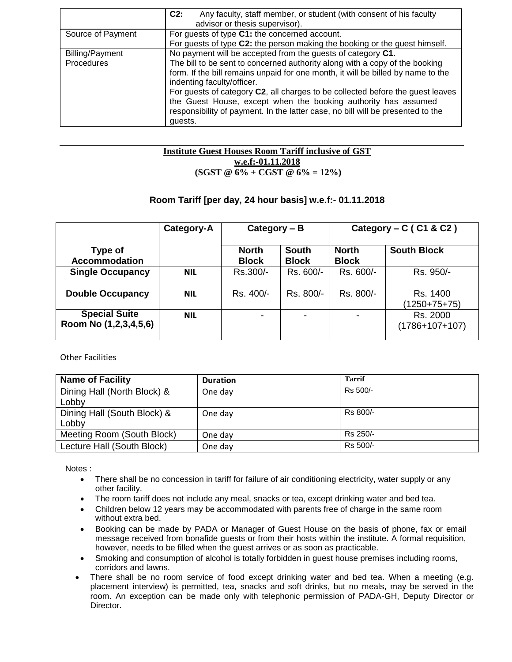|                        | $C2$ :<br>Any faculty, staff member, or student (with consent of his faculty<br>advisor or thesis supervisor).                                                                                                                                                                                                                                                                                                                                  |  |  |  |  |
|------------------------|-------------------------------------------------------------------------------------------------------------------------------------------------------------------------------------------------------------------------------------------------------------------------------------------------------------------------------------------------------------------------------------------------------------------------------------------------|--|--|--|--|
| Source of Payment      | For guests of type C1: the concerned account.                                                                                                                                                                                                                                                                                                                                                                                                   |  |  |  |  |
|                        | For guests of type C2: the person making the booking or the guest himself.                                                                                                                                                                                                                                                                                                                                                                      |  |  |  |  |
| <b>Billing/Payment</b> | No payment will be accepted from the guests of category C1.                                                                                                                                                                                                                                                                                                                                                                                     |  |  |  |  |
| Procedures             | The bill to be sent to concerned authority along with a copy of the booking<br>form. If the bill remains unpaid for one month, it will be billed by name to the<br>indenting faculty/officer.<br>For guests of category C2, all charges to be collected before the quest leaves<br>the Guest House, except when the booking authority has assumed<br>responsibility of payment. In the latter case, no bill will be presented to the<br>quests. |  |  |  |  |

### **Institute Guest Houses Room Tariff inclusive of GST w.e.f:-01.11.2018 (SGST @ 6% + CGST @ 6% = 12%)**

# **Room Tariff [per day, 24 hour basis] w.e.f:- 01.11.2018**

|                                               | Category-A | Category $- B$               |                              | Category – $C$ (C1 & C2)     |                              |  |
|-----------------------------------------------|------------|------------------------------|------------------------------|------------------------------|------------------------------|--|
| Type of<br><b>Accommodation</b>               |            | <b>North</b><br><b>Block</b> | <b>South</b><br><b>Block</b> | <b>North</b><br><b>Block</b> | <b>South Block</b>           |  |
| <b>Single Occupancy</b>                       | <b>NIL</b> | Rs.300/-                     | Rs. 600/-                    | Rs. 600/-                    | Rs. 950/-                    |  |
| <b>Double Occupancy</b>                       | <b>NIL</b> | Rs. 400/-                    | Rs. 800/-                    | Rs. 800/-                    | Rs. 1400<br>$(1250+75+75)$   |  |
| <b>Special Suite</b><br>Room No (1,2,3,4,5,6) | <b>NIL</b> | -                            | -                            |                              | Rs. 2000<br>$(1786+107+107)$ |  |

Other Facilities

| <b>Name of Facility</b>     | <b>Duration</b> | <b>Tarrif</b> |
|-----------------------------|-----------------|---------------|
| Dining Hall (North Block) & | One day         | Rs 500/-      |
| Lobby                       |                 |               |
| Dining Hall (South Block) & | One day         | Rs 800/-      |
| Lobby                       |                 |               |
| Meeting Room (South Block)  | One day         | Rs 250/-      |
| Lecture Hall (South Block)  | One day         | Rs 500/-      |

Notes :

- There shall be no concession in tariff for failure of air conditioning electricity, water supply or any other facility.
- The room tariff does not include any meal, snacks or tea, except drinking water and bed tea.
- Children below 12 years may be accommodated with parents free of charge in the same room without extra bed.
- Booking can be made by PADA or Manager of Guest House on the basis of phone, fax or email message received from bonafide guests or from their hosts within the institute. A formal requisition, however, needs to be filled when the guest arrives or as soon as practicable.
- Smoking and consumption of alcohol is totally forbidden in guest house premises including rooms, corridors and lawns.
- There shall be no room service of food except drinking water and bed tea. When a meeting (e.g. placement interview) is permitted, tea, snacks and soft drinks, but no meals, may be served in the room. An exception can be made only with telephonic permission of PADA-GH, Deputy Director or Director.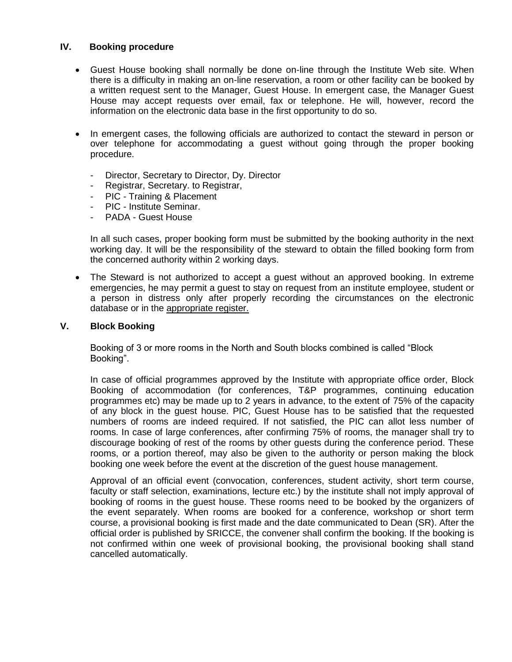# **IV. Booking procedure**

- Guest House booking shall normally be done on-line through the Institute Web site. When there is a difficulty in making an on-line reservation, a room or other facility can be booked by a written request sent to the Manager, Guest House. In emergent case, the Manager Guest House may accept requests over email, fax or telephone. He will, however, record the information on the electronic data base in the first opportunity to do so.
- In emergent cases, the following officials are authorized to contact the steward in person or over telephone for accommodating a guest without going through the proper booking procedure.
	- Director, Secretary to Director, Dy. Director
	- Registrar, Secretary. to Registrar,
	- PIC Training & Placement
	- PIC Institute Seminar.
	- PADA Guest House

In all such cases, proper booking form must be submitted by the booking authority in the next working day. It will be the responsibility of the steward to obtain the filled booking form from the concerned authority within 2 working days.

• The Steward is not authorized to accept a quest without an approved booking. In extreme emergencies, he may permit a guest to stay on request from an institute employee, student or a person in distress only after properly recording the circumstances on the electronic database or in the appropriate register.

# **V. Block Booking**

Booking of 3 or more rooms in the North and South blocks combined is called "Block Booking".

In case of official programmes approved by the Institute with appropriate office order, Block Booking of accommodation (for conferences, T&P programmes, continuing education programmes etc) may be made up to 2 years in advance, to the extent of 75% of the capacity of any block in the guest house. PIC, Guest House has to be satisfied that the requested numbers of rooms are indeed required. If not satisfied, the PIC can allot less number of rooms. In case of large conferences, after confirming 75% of rooms, the manager shall try to discourage booking of rest of the rooms by other guests during the conference period. These rooms, or a portion thereof, may also be given to the authority or person making the block booking one week before the event at the discretion of the guest house management.

Approval of an official event (convocation, conferences, student activity, short term course, faculty or staff selection, examinations, lecture etc.) by the institute shall not imply approval of booking of rooms in the guest house. These rooms need to be booked by the organizers of the event separately. When rooms are booked for a conference, workshop or short term course, a provisional booking is first made and the date communicated to Dean (SR). After the official order is published by SRICCE, the convener shall confirm the booking. If the booking is not confirmed within one week of provisional booking, the provisional booking shall stand cancelled automatically.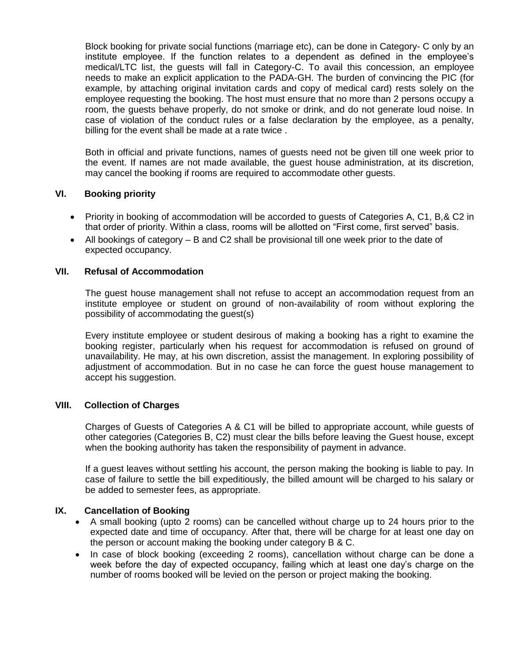Block booking for private social functions (marriage etc), can be done in Category- C only by an institute employee. If the function relates to a dependent as defined in the employee's medical/LTC list, the guests will fall in Category-C. To avail this concession, an employee needs to make an explicit application to the PADA-GH. The burden of convincing the PIC (for example, by attaching original invitation cards and copy of medical card) rests solely on the employee requesting the booking. The host must ensure that no more than 2 persons occupy a room, the guests behave properly, do not smoke or drink, and do not generate loud noise. In case of violation of the conduct rules or a false declaration by the employee, as a penalty, billing for the event shall be made at a rate twice .

Both in official and private functions, names of guests need not be given till one week prior to the event. If names are not made available, the guest house administration, at its discretion, may cancel the booking if rooms are required to accommodate other guests.

# **VI. Booking priority**

- Priority in booking of accommodation will be accorded to quests of Categories A, C1, B, & C2 in that order of priority. Within a class, rooms will be allotted on "First come, first served" basis.
- All bookings of category B and C2 shall be provisional till one week prior to the date of expected occupancy.

# **VII. Refusal of Accommodation**

The guest house management shall not refuse to accept an accommodation request from an institute employee or student on ground of non-availability of room without exploring the possibility of accommodating the guest(s)

Every institute employee or student desirous of making a booking has a right to examine the booking register, particularly when his request for accommodation is refused on ground of unavailability. He may, at his own discretion, assist the management. In exploring possibility of adjustment of accommodation. But in no case he can force the guest house management to accept his suggestion.

# **VIII. Collection of Charges**

Charges of Guests of Categories A & C1 will be billed to appropriate account, while guests of other categories (Categories B, C2) must clear the bills before leaving the Guest house, except when the booking authority has taken the responsibility of payment in advance.

If a guest leaves without settling his account, the person making the booking is liable to pay. In case of failure to settle the bill expeditiously, the billed amount will be charged to his salary or be added to semester fees, as appropriate.

# **IX. Cancellation of Booking**

- A small booking (upto 2 rooms) can be cancelled without charge up to 24 hours prior to the expected date and time of occupancy. After that, there will be charge for at least one day on the person or account making the booking under category B & C.
- In case of block booking (exceeding 2 rooms), cancellation without charge can be done a week before the day of expected occupancy, failing which at least one day"s charge on the number of rooms booked will be levied on the person or project making the booking.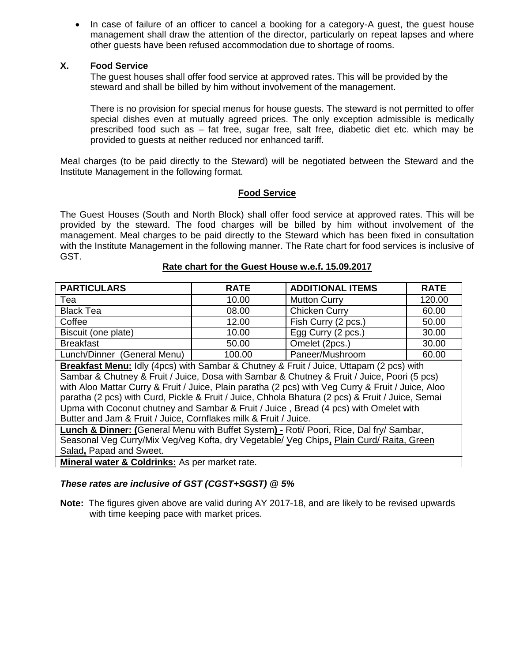In case of failure of an officer to cancel a booking for a category-A guest, the guest house management shall draw the attention of the director, particularly on repeat lapses and where other guests have been refused accommodation due to shortage of rooms.

# **X. Food Service**

The guest houses shall offer food service at approved rates. This will be provided by the steward and shall be billed by him without involvement of the management.

There is no provision for special menus for house guests. The steward is not permitted to offer special dishes even at mutually agreed prices. The only exception admissible is medically prescribed food such as – fat free, sugar free, salt free, diabetic diet etc. which may be provided to guests at neither reduced nor enhanced tariff.

Meal charges (to be paid directly to the Steward) will be negotiated between the Steward and the Institute Management in the following format.

# **Food Service**

The Guest Houses (South and North Block) shall offer food service at approved rates. This will be provided by the steward. The food charges will be billed by him without involvement of the management. Meal charges to be paid directly to the Steward which has been fixed in consultation with the Institute Management in the following manner. The Rate chart for food services is inclusive of GST.

### **Rate chart for the Guest House w.e.f. 15.09.2017**

| <b>PARTICULARS</b>          | <b>RATE</b> | <b>ADDITIONAL ITEMS</b> | <b>RATE</b> |
|-----------------------------|-------------|-------------------------|-------------|
| Tea                         | 10.00       | <b>Mutton Curry</b>     | 120.00      |
| <b>Black Tea</b>            | 08.00       | Chicken Curry           | 60.00       |
| Coffee                      | 12.00       | Fish Curry (2 pcs.)     | 50.00       |
| Biscuit (one plate)         | 10.00       | Egg Curry (2 pcs.)      | 30.00       |
| <b>Breakfast</b>            | 50.00       | Omelet (2pcs.)          | 30.00       |
| Lunch/Dinner (General Menu) | 100.00      | Paneer/Mushroom         | 60.00       |

**Breakfast Menu:** Idly (4pcs) with Sambar & Chutney & Fruit / Juice, Uttapam (2 pcs) with Sambar & Chutney & Fruit / Juice, Dosa with Sambar & Chutney & Fruit / Juice, Poori (5 pcs) with Aloo Mattar Curry & Fruit / Juice, Plain paratha (2 pcs) with Veg Curry & Fruit / Juice, Aloo paratha (2 pcs) with Curd, Pickle & Fruit / Juice, Chhola Bhatura (2 pcs) & Fruit / Juice, Semai Upma with Coconut chutney and Sambar & Fruit / Juice , Bread (4 pcs) with Omelet with Butter and Jam & Fruit / Juice, Cornflakes milk & Fruit / Juice.

**Lunch & Dinner: (**General Menu with Buffet System**) -** Roti/ Poori, Rice, Dal fry/ Sambar, Seasonal Veg Curry/Mix Veg/veg Kofta, dry Vegetable/ Veg Chips**,** Plain Curd/ Raita, Green Salad**,** Papad and Sweet.

**Mineral water & Coldrinks:** As per market rate.

# *These rates are inclusive of GST (CGST+SGST) @ 5%*

**Note:** The figures given above are valid during AY 2017-18, and are likely to be revised upwards with time keeping pace with market prices.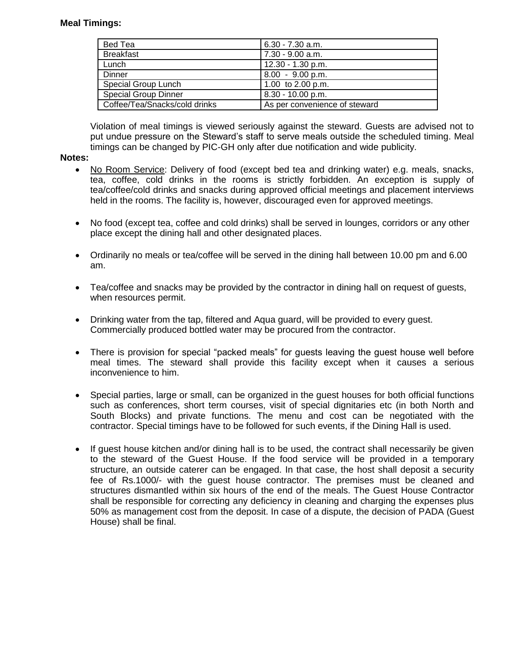# **Meal Timings:**

| Bed Tea                       | $6.30 - 7.30$ a.m.            |
|-------------------------------|-------------------------------|
| <b>Breakfast</b>              | 7.30 - 9.00 a.m.              |
| Lunch                         | 12.30 - 1.30 p.m.             |
| Dinner                        | $8.00 - 9.00$ p.m.            |
| Special Group Lunch           | 1.00 to $2.00$ p.m.           |
| <b>Special Group Dinner</b>   | 8.30 - 10.00 p.m.             |
| Coffee/Tea/Snacks/cold drinks | As per convenience of steward |

Violation of meal timings is viewed seriously against the steward. Guests are advised not to put undue pressure on the Steward"s staff to serve meals outside the scheduled timing. Meal timings can be changed by PIC-GH only after due notification and wide publicity.

# **Notes:**

- No Room Service: Delivery of food (except bed tea and drinking water) e.g. meals, snacks, tea, coffee, cold drinks in the rooms is strictly forbidden. An exception is supply of tea/coffee/cold drinks and snacks during approved official meetings and placement interviews held in the rooms. The facility is, however, discouraged even for approved meetings.
- No food (except tea, coffee and cold drinks) shall be served in lounges, corridors or any other place except the dining hall and other designated places.
- Ordinarily no meals or tea/coffee will be served in the dining hall between 10.00 pm and 6.00 am.
- Tea/coffee and snacks may be provided by the contractor in dining hall on request of guests, when resources permit.
- Drinking water from the tap, filtered and Aqua guard, will be provided to every guest. Commercially produced bottled water may be procured from the contractor.
- There is provision for special "packed meals" for guests leaving the guest house well before meal times. The steward shall provide this facility except when it causes a serious inconvenience to him.
- Special parties, large or small, can be organized in the guest houses for both official functions such as conferences, short term courses, visit of special dignitaries etc (in both North and South Blocks) and private functions. The menu and cost can be negotiated with the contractor. Special timings have to be followed for such events, if the Dining Hall is used.
- If guest house kitchen and/or dining hall is to be used, the contract shall necessarily be given to the steward of the Guest House. If the food service will be provided in a temporary structure, an outside caterer can be engaged. In that case, the host shall deposit a security fee of Rs.1000/- with the guest house contractor. The premises must be cleaned and structures dismantled within six hours of the end of the meals. The Guest House Contractor shall be responsible for correcting any deficiency in cleaning and charging the expenses plus 50% as management cost from the deposit. In case of a dispute, the decision of PADA (Guest House) shall be final.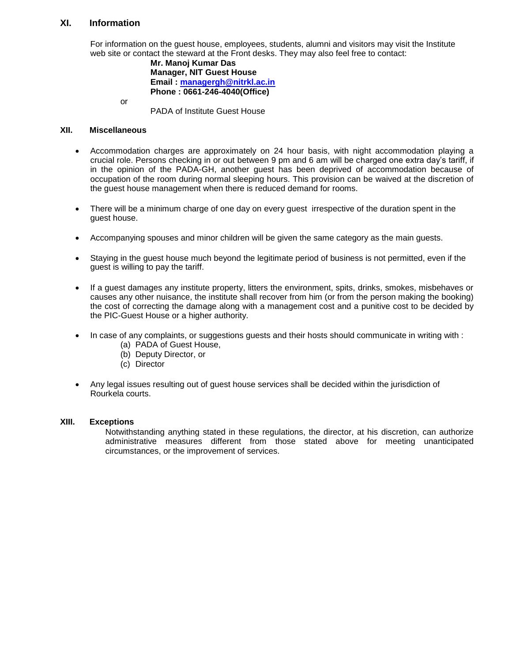# **XI. Information**

For information on the guest house, employees, students, alumni and visitors may visit the Institute web site or contact the steward at the Front desks. They may also feel free to contact:

**Mr. Manoj Kumar Das Manager, NIT Guest House Email : [managergh@nitrkl.ac.in](mailto:managergh@nitrkl.ac.in) Phone : 0661-246-4040(Office)**

or

PADA of Institute Guest House

### **XII. Miscellaneous**

- Accommodation charges are approximately on 24 hour basis, with night accommodation playing a crucial role. Persons checking in or out between 9 pm and 6 am will be charged one extra day"s tariff, if in the opinion of the PADA-GH, another guest has been deprived of accommodation because of occupation of the room during normal sleeping hours. This provision can be waived at the discretion of the guest house management when there is reduced demand for rooms.
- There will be a minimum charge of one day on every guest irrespective of the duration spent in the guest house.
- Accompanying spouses and minor children will be given the same category as the main guests.
- Staying in the guest house much beyond the legitimate period of business is not permitted, even if the guest is willing to pay the tariff.
- If a guest damages any institute property, litters the environment, spits, drinks, smokes, misbehaves or causes any other nuisance, the institute shall recover from him (or from the person making the booking) the cost of correcting the damage along with a management cost and a punitive cost to be decided by the PIC-Guest House or a higher authority.
- In case of any complaints, or suggestions guests and their hosts should communicate in writing with :
	- (a) PADA of Guest House,
	- (b) Deputy Director, or
	- (c) Director
- Any legal issues resulting out of guest house services shall be decided within the jurisdiction of Rourkela courts.

#### **XIII. Exceptions**

Notwithstanding anything stated in these regulations, the director, at his discretion, can authorize administrative measures different from those stated above for meeting unanticipated circumstances, or the improvement of services.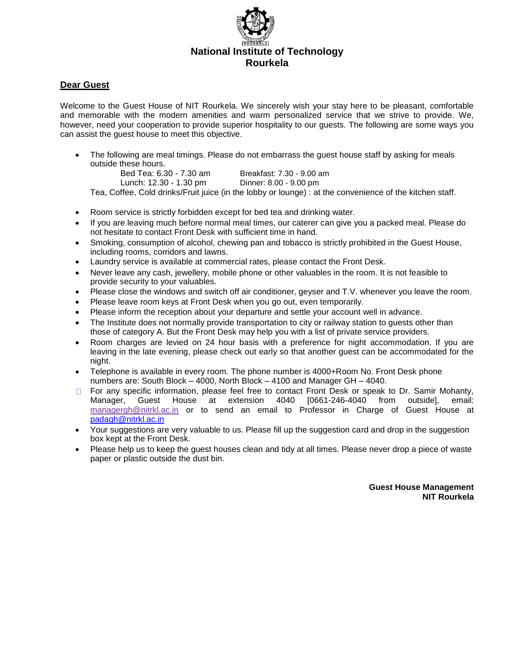

# **Dear Guest**

Welcome to the Guest House of NIT Rourkela. We sincerely wish your stay here to be pleasant, comfortable and memorable with the modern amenities and warm personalized service that we strive to provide. We, however, need your cooperation to provide superior hospitality to our guests. The following are some ways you can assist the guest house to meet this objective.

• The following are meal timings. Please do not embarrass the quest house staff by asking for meals outside these hours.

Bed Tea: 6.30 - 7.30 am Breakfast: 7.30 - 9.00 am Lunch: 12.30 - 1.30 pm Dinner: 8.00 - 9.00 pm

Tea, Coffee, Cold drinks/Fruit juice (in the lobby or lounge) : at the convenience of the kitchen staff.

- Room service is strictly forbidden except for bed tea and drinking water.
- If you are leaving much before normal meal times, our caterer can give you a packed meal. Please do not hesitate to contact Front Desk with sufficient time in hand.
- Smoking, consumption of alcohol, chewing pan and tobacco is strictly prohibited in the Guest House, including rooms, corridors and lawns.
- Laundry service is available at commercial rates, please contact the Front Desk.
- Never leave any cash, jewellery, mobile phone or other valuables in the room. It is not feasible to provide security to your valuables.
- Please close the windows and switch off air conditioner, geyser and T.V. whenever you leave the room.
- Please leave room keys at Front Desk when you go out, even temporarily.
- Please inform the reception about your departure and settle your account well in advance.
- The Institute does not normally provide transportation to city or railway station to quests other than those of category A. But the Front Desk may help you with a list of private service providers.
- Room charges are levied on 24 hour basis with a preference for night accommodation. If you are leaving in the late evening, please check out early so that another guest can be accommodated for the night.
- Telephone is available in every room. The phone number is 4000+Room No. Front Desk phone numbers are: South Block – 4000, North Block – 4100 and Manager GH – 4040.
- □ For any specific information, please feel free to contact Front Desk or speak to Dr. Samir Mohanty,<br>Manager, Guest House at extension 4040 [0661-246-4040 from outside], email: Manager, Guest House at extension 4040 [0661-246-4040 from outside], email: managergh@nitrkl.ac.in or to send an email to Professor in Charge of Guest House at [padagh@nitrkl.ac.in](mailto:padagh@nitrkl.ac.in)
- Your suggestions are very valuable to us. Please fill up the suggestion card and drop in the suggestion box kept at the Front Desk.
- Please help us to keep the guest houses clean and tidy at all times. Please never drop a piece of waste paper or plastic outside the dust bin.

**Guest House Management NIT Rourkela**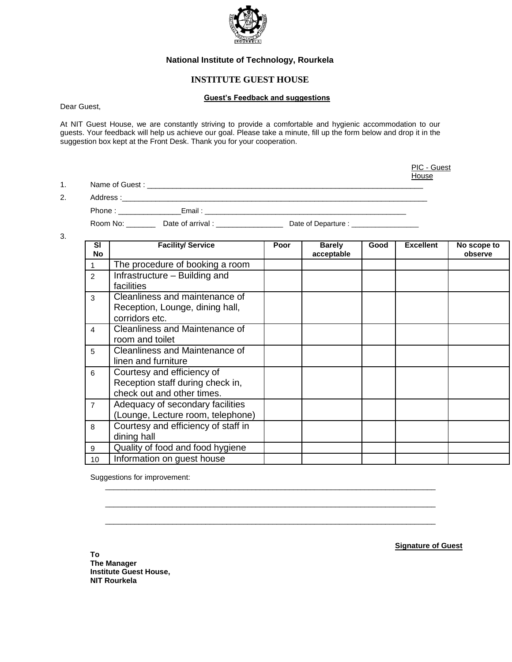

#### **National Institute of Technology, Rourkela**

# **INSTITUTE GUEST HOUSE**

#### **Guest's Feedback and suggestions**

Dear Guest,

At NIT Guest House, we are constantly striving to provide a comfortable and hygienic accommodation to our guests. Your feedback will help us achieve our goal. Please take a minute, fill up the form below and drop it in the suggestion box kept at the Front Desk. Thank you for your cooperation.

|             |                                           | PIC - Guest<br>House                               |  |
|-------------|-------------------------------------------|----------------------------------------------------|--|
| $1_{\cdot}$ |                                           |                                                    |  |
| 2.          |                                           |                                                    |  |
|             | Phone: Email: Email:                      |                                                    |  |
|             | Date of arrival :<br>Room No: <b>Room</b> | Date of Departure : <u>contract and the set of</u> |  |
|             |                                           |                                                    |  |

3.

| <b>SI</b><br><b>No</b> | <b>Facility/ Service</b>                                                                     | Poor | <b>Barely</b><br>acceptable | Good | <b>Excellent</b> | No scope to<br>observe |
|------------------------|----------------------------------------------------------------------------------------------|------|-----------------------------|------|------------------|------------------------|
|                        | The procedure of booking a room                                                              |      |                             |      |                  |                        |
| $\overline{2}$         | Infrastructure – Building and<br>facilities                                                  |      |                             |      |                  |                        |
| 3                      | Cleanliness and maintenance of<br>Reception, Lounge, dining hall,<br>corridors etc.          |      |                             |      |                  |                        |
| 4                      | Cleanliness and Maintenance of<br>room and toilet                                            |      |                             |      |                  |                        |
| 5                      | Cleanliness and Maintenance of<br>linen and furniture                                        |      |                             |      |                  |                        |
| 6                      | Courtesy and efficiency of<br>Reception staff during check in,<br>check out and other times. |      |                             |      |                  |                        |
| $\overline{7}$         | Adequacy of secondary facilities<br>(Lounge, Lecture room, telephone)                        |      |                             |      |                  |                        |
| 8                      | Courtesy and efficiency of staff in<br>dining hall                                           |      |                             |      |                  |                        |
| 9                      | Quality of food and food hygiene                                                             |      |                             |      |                  |                        |
| 10                     | Information on guest house                                                                   |      |                             |      |                  |                        |

 $\overline{\phantom{a}}$  ,  $\overline{\phantom{a}}$  ,  $\overline{\phantom{a}}$  ,  $\overline{\phantom{a}}$  ,  $\overline{\phantom{a}}$  ,  $\overline{\phantom{a}}$  ,  $\overline{\phantom{a}}$  ,  $\overline{\phantom{a}}$  ,  $\overline{\phantom{a}}$  ,  $\overline{\phantom{a}}$  ,  $\overline{\phantom{a}}$  ,  $\overline{\phantom{a}}$  ,  $\overline{\phantom{a}}$  ,  $\overline{\phantom{a}}$  ,  $\overline{\phantom{a}}$  ,  $\overline{\phantom{a}}$ 

 $\overline{\phantom{a}}$  ,  $\overline{\phantom{a}}$  ,  $\overline{\phantom{a}}$  ,  $\overline{\phantom{a}}$  ,  $\overline{\phantom{a}}$  ,  $\overline{\phantom{a}}$  ,  $\overline{\phantom{a}}$  ,  $\overline{\phantom{a}}$  ,  $\overline{\phantom{a}}$  ,  $\overline{\phantom{a}}$  ,  $\overline{\phantom{a}}$  ,  $\overline{\phantom{a}}$  ,  $\overline{\phantom{a}}$  ,  $\overline{\phantom{a}}$  ,  $\overline{\phantom{a}}$  ,  $\overline{\phantom{a}}$ 

 $\overline{\phantom{a}}$  ,  $\overline{\phantom{a}}$  ,  $\overline{\phantom{a}}$  ,  $\overline{\phantom{a}}$  ,  $\overline{\phantom{a}}$  ,  $\overline{\phantom{a}}$  ,  $\overline{\phantom{a}}$  ,  $\overline{\phantom{a}}$  ,  $\overline{\phantom{a}}$  ,  $\overline{\phantom{a}}$  ,  $\overline{\phantom{a}}$  ,  $\overline{\phantom{a}}$  ,  $\overline{\phantom{a}}$  ,  $\overline{\phantom{a}}$  ,  $\overline{\phantom{a}}$  ,  $\overline{\phantom{a}}$ 

Suggestions for improvement:

**Signature of Guest**

**To The Manager Institute Guest House, NIT Rourkela**